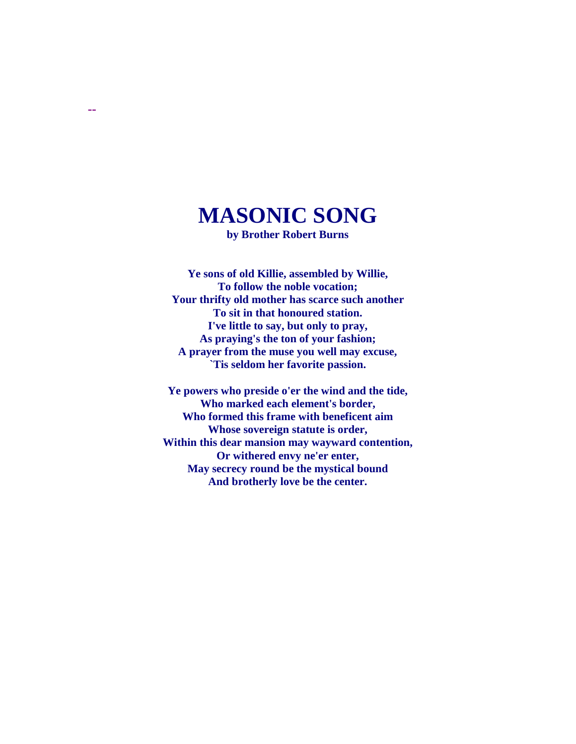# **MASONIC SONG**

**--**

**by Brother Robert Burns**

**Ye sons of old Killie, assembled by Willie, To follow the noble vocation; Your thrifty old mother has scarce such another To sit in that honoured station. I've little to say, but only to pray, As praying's the ton of your fashion; A prayer from the muse you well may excuse, `Tis seldom her favorite passion.**

**Ye powers who preside o'er the wind and the tide, Who marked each element's border, Who formed this frame with beneficent aim Whose sovereign statute is order, Within this dear mansion may wayward contention, Or withered envy ne'er enter, May secrecy round be the mystical bound And brotherly love be the center.**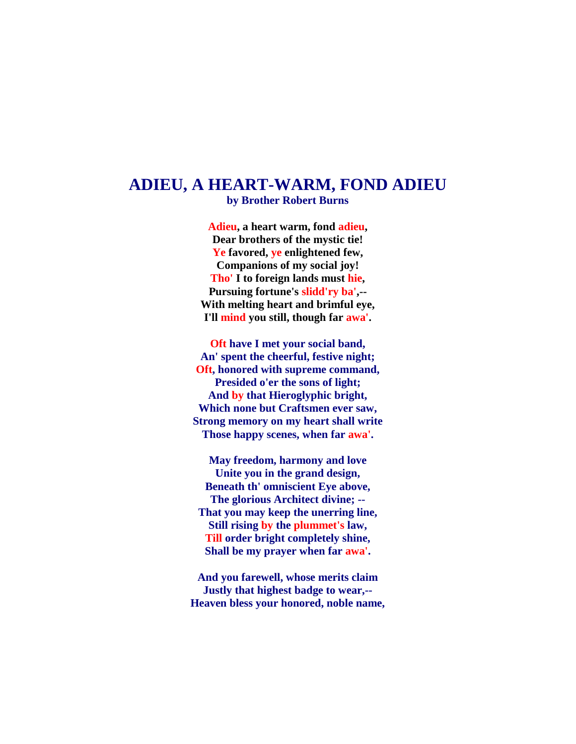#### **ADIEU, A HEART-WARM, FOND ADIEU**

**by Brother Robert Burns**

**Adieu, a heart warm, fond adieu, Dear brothers of the mystic tie! Ye favored, ye enlightened few, Companions of my social joy! Tho' I to foreign lands must hie, Pursuing fortune's slidd'ry ba',-- With melting heart and brimful eye, I'll mind you still, though far awa'.**

**Oft have I met your social band, An' spent the cheerful, festive night; Oft, honored with supreme command, Presided o'er the sons of light; And by that Hieroglyphic bright, Which none but Craftsmen ever saw, Strong memory on my heart shall write Those happy scenes, when far awa'.**

**May freedom, harmony and love Unite you in the grand design, Beneath th' omniscient Eye above, The glorious Architect divine; -- That you may keep the unerring line, Still rising by the plummet's law, Till order bright completely shine, Shall be my prayer when far awa'.**

**And you farewell, whose merits claim Justly that highest badge to wear,-- Heaven bless your honored, noble name,**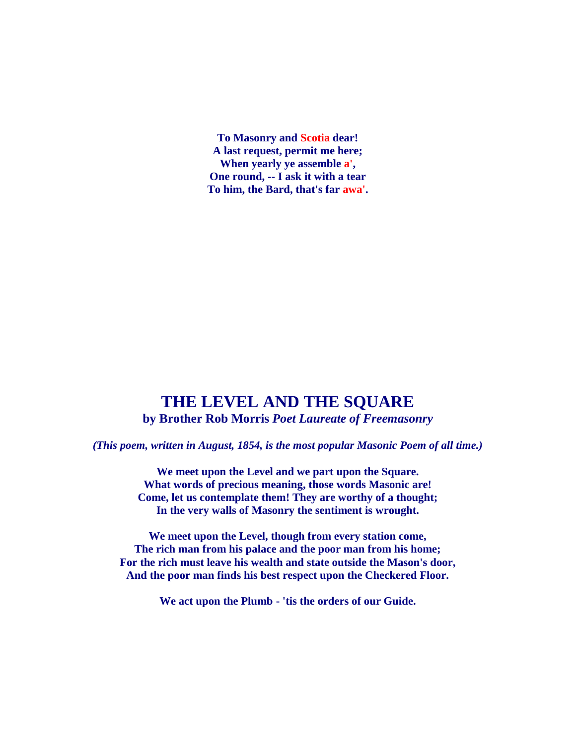**To Masonry and Scotia dear! A last request, permit me here; When yearly ye assemble a', One round, -- I ask it with a tear To him, the Bard, that's far awa'.**

#### **THE LEVEL AND THE SQUARE**

**by Brother Rob Morris** *Poet Laureate of Freemasonry*

*(This poem, written in August, 1854, is the most popular Masonic Poem of all time.)*

**We meet upon the Level and we part upon the Square. What words of precious meaning, those words Masonic are! Come, let us contemplate them! They are worthy of a thought; In the very walls of Masonry the sentiment is wrought.**

**We meet upon the Level, though from every station come, The rich man from his palace and the poor man from his home; For the rich must leave his wealth and state outside the Mason's door, And the poor man finds his best respect upon the Checkered Floor.**

**We act upon the Plumb - 'tis the orders of our Guide.**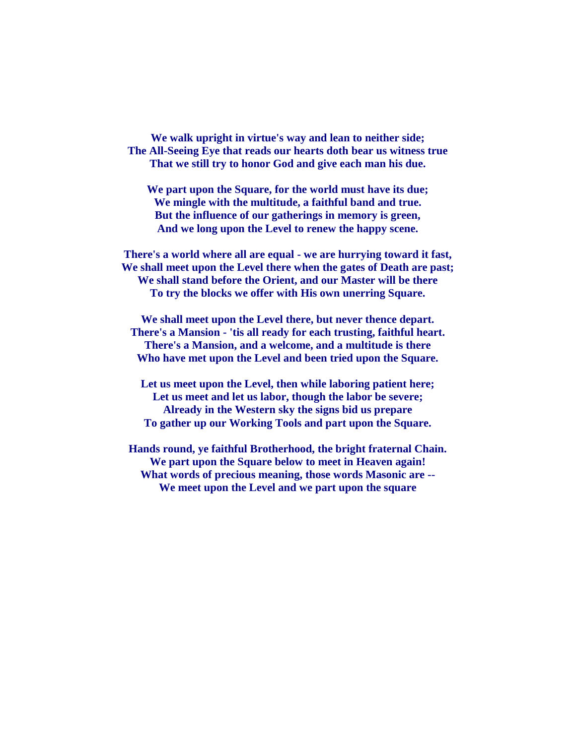**We walk upright in virtue's way and lean to neither side; The All-Seeing Eye that reads our hearts doth bear us witness true That we still try to honor God and give each man his due.**

**We part upon the Square, for the world must have its due; We mingle with the multitude, a faithful band and true. But the influence of our gatherings in memory is green, And we long upon the Level to renew the happy scene.**

**There's a world where all are equal - we are hurrying toward it fast, We shall meet upon the Level there when the gates of Death are past; We shall stand before the Orient, and our Master will be there To try the blocks we offer with His own unerring Square.**

**We shall meet upon the Level there, but never thence depart. There's a Mansion - 'tis all ready for each trusting, faithful heart. There's a Mansion, and a welcome, and a multitude is there Who have met upon the Level and been tried upon the Square.**

**Let us meet upon the Level, then while laboring patient here; Let us meet and let us labor, though the labor be severe; Already in the Western sky the signs bid us prepare To gather up our Working Tools and part upon the Square.**

**Hands round, ye faithful Brotherhood, the bright fraternal Chain. We part upon the Square below to meet in Heaven again! What words of precious meaning, those words Masonic are -- We meet upon the Level and we part upon the square**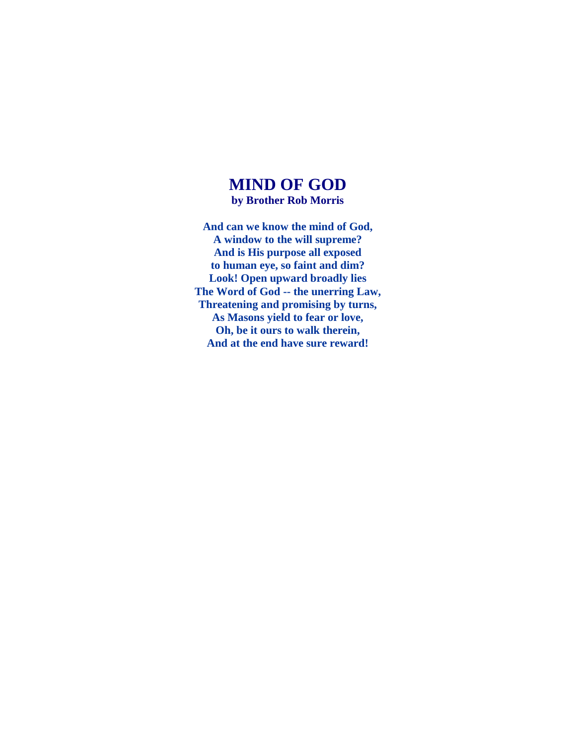#### **MIND OF GOD**

**by Brother Rob Morris**

**And can we know the mind of God, A window to the will supreme? And is His purpose all exposed to human eye, so faint and dim? Look! Open upward broadly lies The Word of God -- the unerring Law, Threatening and promising by turns, As Masons yield to fear or love, Oh, be it ours to walk therein, And at the end have sure reward!**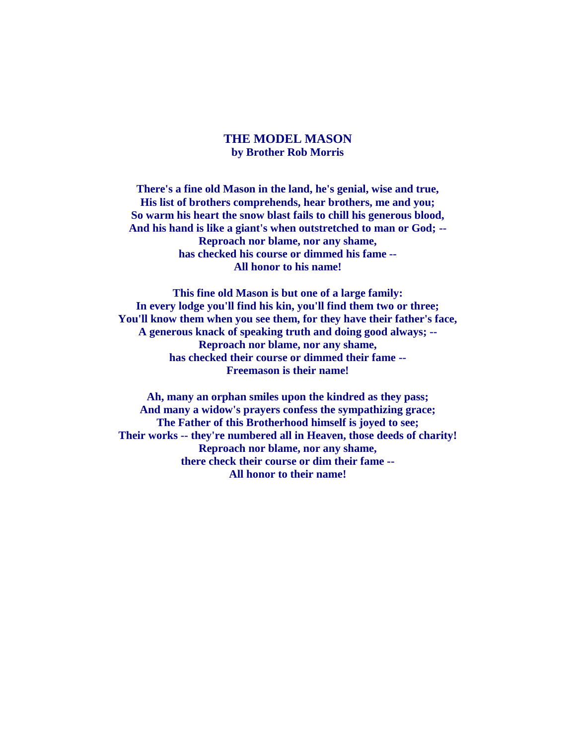#### **THE MODEL MASON by Brother Rob Morris**

**There's a fine old Mason in the land, he's genial, wise and true, His list of brothers comprehends, hear brothers, me and you; So warm his heart the snow blast fails to chill his generous blood, And his hand is like a giant's when outstretched to man or God; -- Reproach nor blame, nor any shame, has checked his course or dimmed his fame -- All honor to his name!**

**This fine old Mason is but one of a large family: In every lodge you'll find his kin, you'll find them two or three; You'll know them when you see them, for they have their father's face, A generous knack of speaking truth and doing good always; -- Reproach nor blame, nor any shame, has checked their course or dimmed their fame -- Freemason is their name!**

**Ah, many an orphan smiles upon the kindred as they pass; And many a widow's prayers confess the sympathizing grace; The Father of this Brotherhood himself is joyed to see; Their works -- they're numbered all in Heaven, those deeds of charity! Reproach nor blame, nor any shame, there check their course or dim their fame -- All honor to their name!**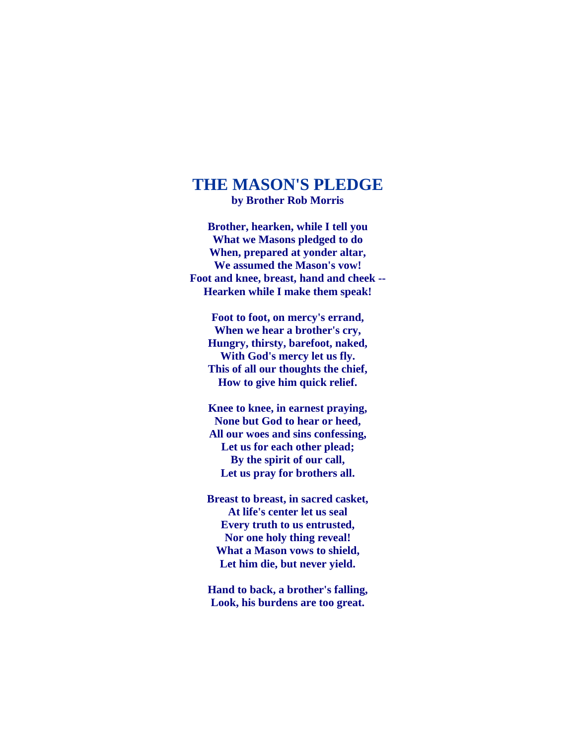#### **THE MASON'S PLEDGE**

**by Brother Rob Morris**

**Brother, hearken, while I tell you What we Masons pledged to do When, prepared at yonder altar, We assumed the Mason's vow! Foot and knee, breast, hand and cheek -- Hearken while I make them speak!**

**Foot to foot, on mercy's errand, When we hear a brother's cry, Hungry, thirsty, barefoot, naked, With God's mercy let us fly. This of all our thoughts the chief, How to give him quick relief.**

**Knee to knee, in earnest praying, None but God to hear or heed, All our woes and sins confessing, Let us for each other plead; By the spirit of our call, Let us pray for brothers all.**

**Breast to breast, in sacred casket, At life's center let us seal Every truth to us entrusted, Nor one holy thing reveal! What a Mason vows to shield, Let him die, but never yield.**

**Hand to back, a brother's falling, Look, his burdens are too great.**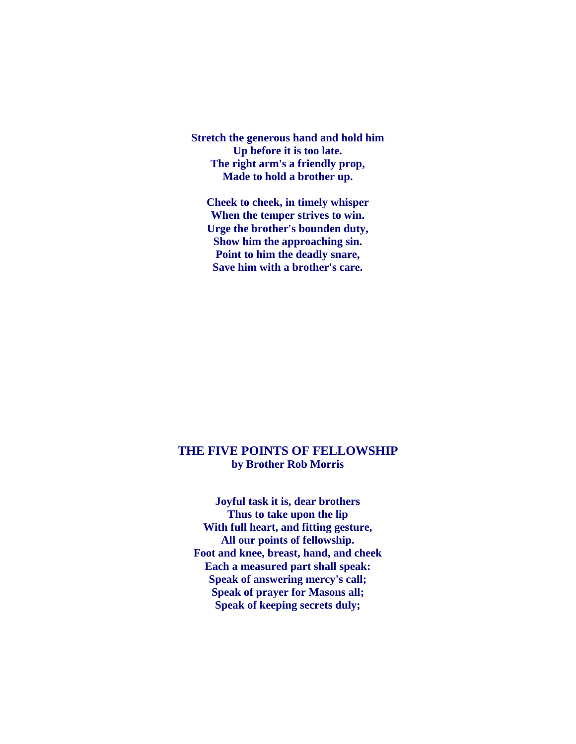**Stretch the generous hand and hold him Up before it is too late. The right arm's a friendly prop, Made to hold a brother up.**

**Cheek to cheek, in timely whisper When the temper strives to win. Urge the brother's bounden duty, Show him the approaching sin. Point to him the deadly snare, Save him with a brother's care.**

#### **THE FIVE POINTS OF FELLOWSHIP by Brother Rob Morris**

**Joyful task it is, dear brothers Thus to take upon the lip With full heart, and fitting gesture, All our points of fellowship. Foot and knee, breast, hand, and cheek Each a measured part shall speak: Speak of answering mercy's call; Speak of prayer for Masons all; Speak of keeping secrets duly;**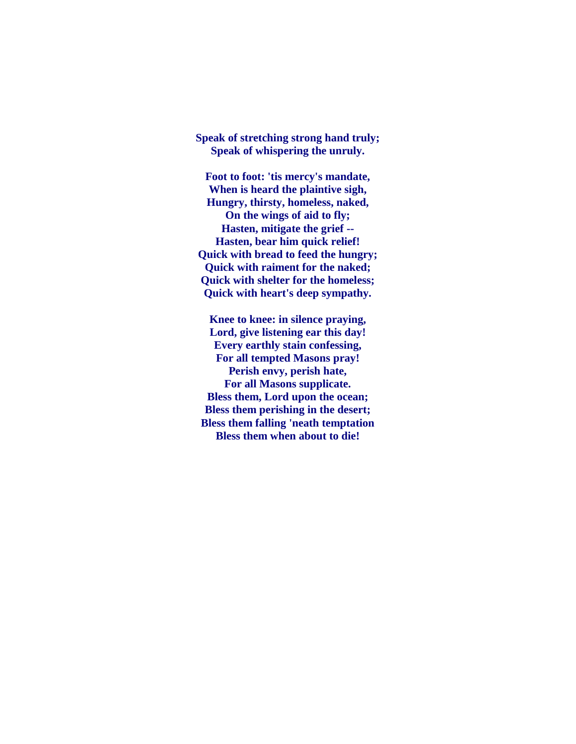**Speak of stretching strong hand truly; Speak of whispering the unruly.**

**Foot to foot: 'tis mercy's mandate, When is heard the plaintive sigh, Hungry, thirsty, homeless, naked, On the wings of aid to fly; Hasten, mitigate the grief -- Hasten, bear him quick relief! Quick with bread to feed the hungry; Quick with raiment for the naked; Quick with shelter for the homeless; Quick with heart's deep sympathy.**

**Knee to knee: in silence praying, Lord, give listening ear this day! Every earthly stain confessing, For all tempted Masons pray! Perish envy, perish hate, For all Masons supplicate. Bless them, Lord upon the ocean; Bless them perishing in the desert; Bless them falling 'neath temptation Bless them when about to die!**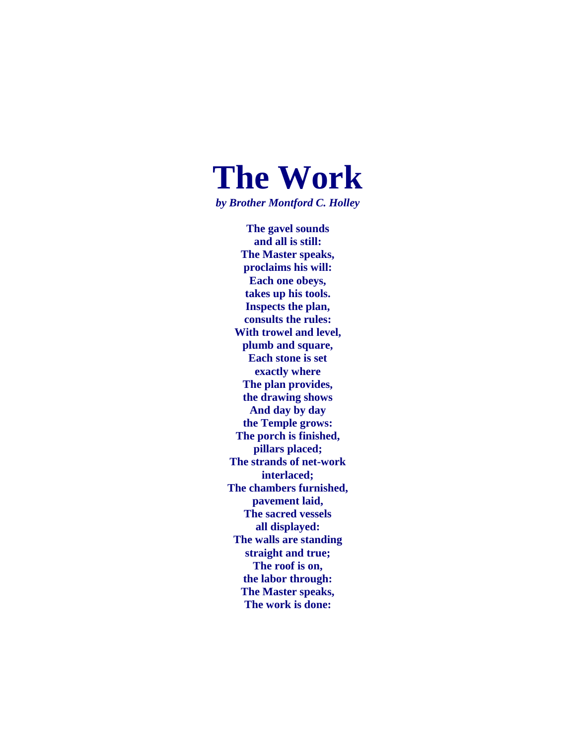# **The Work**

*by Brother Montford C. Holley*

**The gavel sounds and all is still: The Master speaks, proclaims his will: Each one obeys, takes up his tools. Inspects the plan, consults the rules: With trowel and level, plumb and square, Each stone is set exactly where The plan provides, the drawing shows And day by day the Temple grows: The porch is finished, pillars placed; The strands of net-work interlaced; The chambers furnished, pavement laid, The sacred vessels all displayed: The walls are standing straight and true; The roof is on, the labor through: The Master speaks, The work is done:**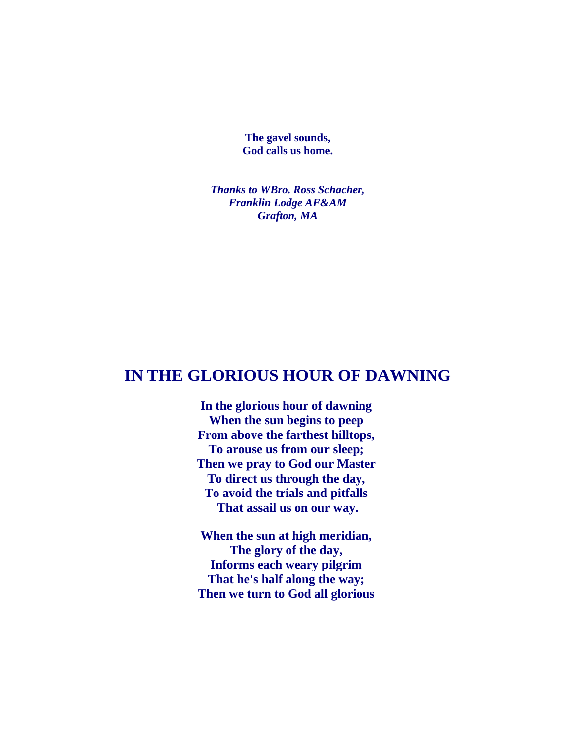**The gavel sounds, God calls us home.**

*Thanks to WBro. Ross Schacher, Franklin Lodge AF&AM Grafton, MA*

#### **IN THE GLORIOUS HOUR OF DAWNING**

**In the glorious hour of dawning When the sun begins to peep From above the farthest hilltops, To arouse us from our sleep; Then we pray to God our Master To direct us through the day, To avoid the trials and pitfalls That assail us on our way.**

**When the sun at high meridian, The glory of the day, Informs each weary pilgrim That he's half along the way; Then we turn to God all glorious**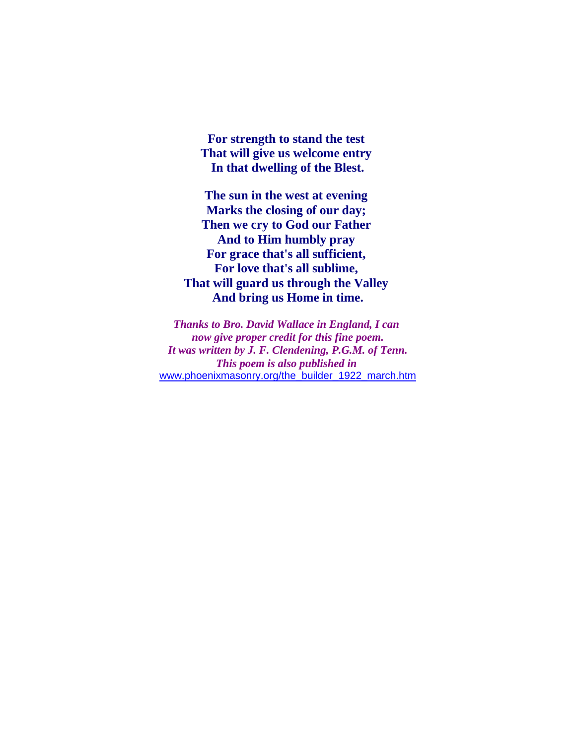**For strength to stand the test That will give us welcome entry In that dwelling of the Blest.**

**The sun in the west at evening Marks the closing of our day; Then we cry to God our Father And to Him humbly pray For grace that's all sufficient, For love that's all sublime, That will guard us through the Valley And bring us Home in time.**

*Thanks to Bro. David Wallace in England, I can now give proper credit for this fine poem. It was written by J. F. Clendening, P.G.M. of Tenn. This poem is also published in* [www.phoenixmasonry.org/the\\_builder\\_1922\\_march.htm](http://www.phoenixmasonry.org/the_builder_1922_march.htm)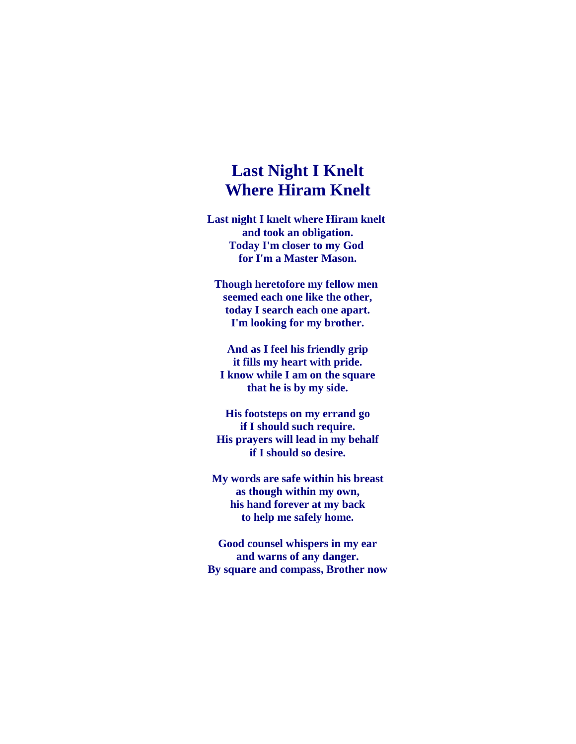#### **Last Night I Knelt Where Hiram Knelt**

**Last night I knelt where Hiram knelt and took an obligation. Today I'm closer to my God for I'm a Master Mason.**

**Though heretofore my fellow men seemed each one like the other, today I search each one apart. I'm looking for my brother.**

**And as I feel his friendly grip it fills my heart with pride. I know while I am on the square that he is by my side.**

**His footsteps on my errand go if I should such require. His prayers will lead in my behalf if I should so desire.**

**My words are safe within his breast as though within my own, his hand forever at my back to help me safely home.**

**Good counsel whispers in my ear and warns of any danger. By square and compass, Brother now**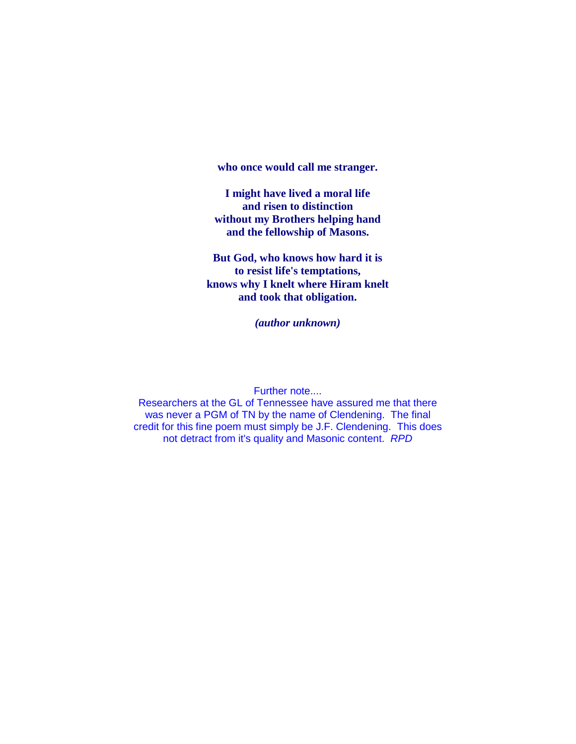**who once would call me stranger.**

**I might have lived a moral life and risen to distinction without my Brothers helping hand and the fellowship of Masons.**

**But God, who knows how hard it is to resist life's temptations, knows why I knelt where Hiram knelt and took that obligation.**

*(author unknown)*

Further note....

Researchers at the GL of Tennessee have assured me that there was never a PGM of TN by the name of Clendening. The final credit for this fine poem must simply be J.F. Clendening. This does not detract from it's quality and Masonic content. *RPD*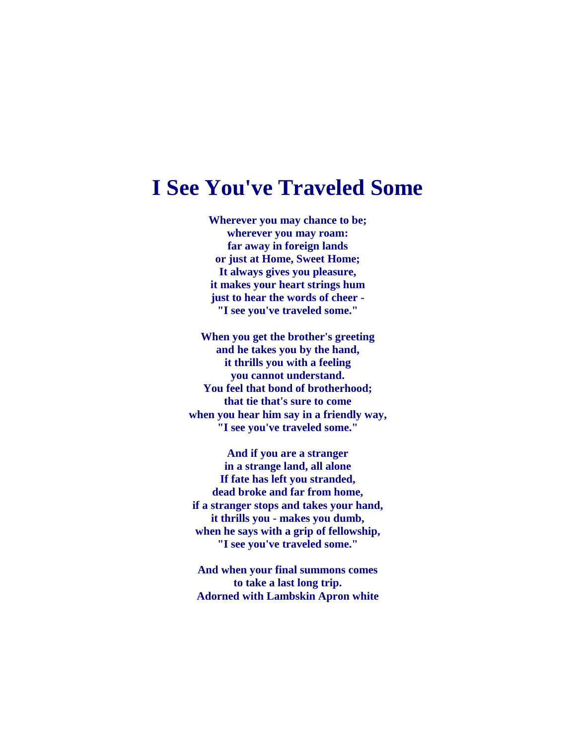## **I See You've Traveled Some**

**Wherever you may chance to be; wherever you may roam: far away in foreign lands or just at Home, Sweet Home; It always gives you pleasure, it makes your heart strings hum just to hear the words of cheer - "I see you've traveled some."**

**When you get the brother's greeting and he takes you by the hand, it thrills you with a feeling you cannot understand. You feel that bond of brotherhood; that tie that's sure to come when you hear him say in a friendly way, "I see you've traveled some."**

**And if you are a stranger in a strange land, all alone If fate has left you stranded, dead broke and far from home, if a stranger stops and takes your hand, it thrills you - makes you dumb, when he says with a grip of fellowship, "I see you've traveled some."**

**And when your final summons comes to take a last long trip. Adorned with Lambskin Apron white**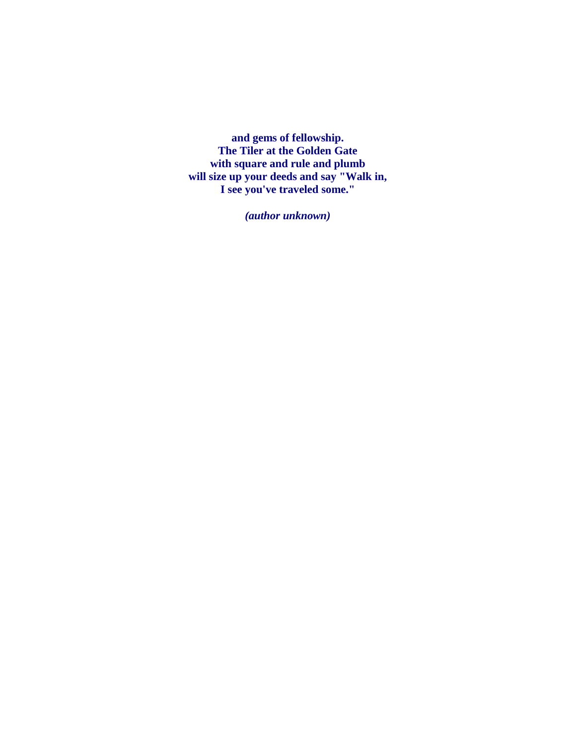**and gems of fellowship. The Tiler at the Golden Gate with square and rule and plumb will size up your deeds and say "Walk in, I see you've traveled some."**

*(author unknown)*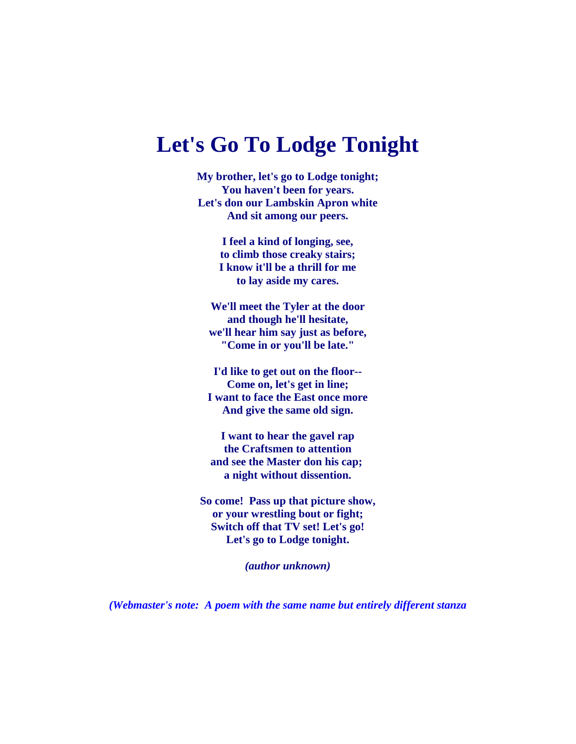## **Let's Go To Lodge Tonight**

**My brother, let's go to Lodge tonight; You haven't been for years. Let's don our Lambskin Apron white And sit among our peers.**

> **I feel a kind of longing, see, to climb those creaky stairs; I know it'll be a thrill for me to lay aside my cares.**

**We'll meet the Tyler at the door and though he'll hesitate, we'll hear him say just as before, "Come in or you'll be late."**

**I'd like to get out on the floor-- Come on, let's get in line; I want to face the East once more And give the same old sign.**

**I want to hear the gavel rap the Craftsmen to attention and see the Master don his cap; a night without dissention.**

**So come! Pass up that picture show, or your wrestling bout or fight; Switch off that TV set! Let's go! Let's go to Lodge tonight.**

*(author unknown)*

*(Webmaster's note: A poem with the same name but entirely different stanza*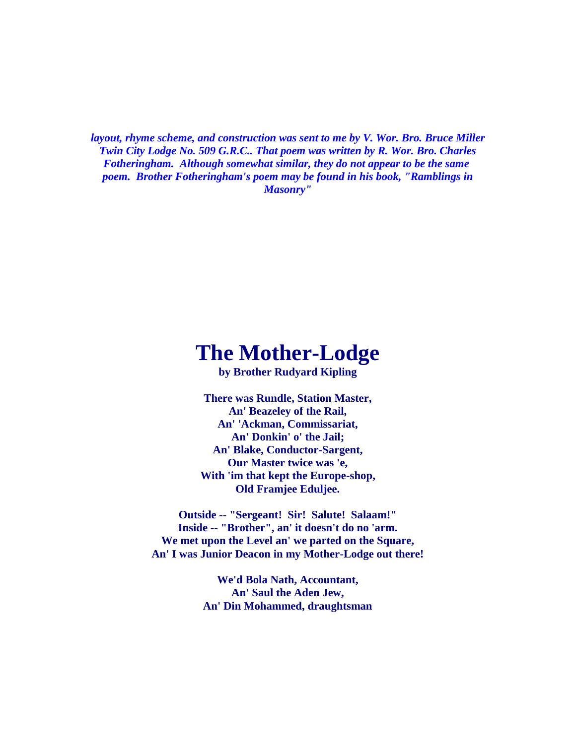*layout, rhyme scheme, and construction was sent to me by V. Wor. Bro. Bruce Miller Twin City Lodge No. 509 G.R.C.. That poem was written by R. Wor. Bro. Charles Fotheringham. Although somewhat similar, they do not appear to be the same poem. Brother Fotheringham's poem may be found in his book, "Ramblings in Masonry"*

## **The Mother-Lodge**

**by Brother Rudyard Kipling**

**There was Rundle, Station Master, An' Beazeley of the Rail, An' 'Ackman, Commissariat, An' Donkin' o' the Jail; An' Blake, Conductor-Sargent, Our Master twice was 'e, With 'im that kept the Europe-shop, Old Framjee Eduljee.**

**Outside -- "Sergeant! Sir! Salute! Salaam!" Inside -- "Brother", an' it doesn't do no 'arm. We met upon the Level an' we parted on the Square, An' I was Junior Deacon in my Mother-Lodge out there!**

> **We'd Bola Nath, Accountant, An' Saul the Aden Jew, An' Din Mohammed, draughtsman**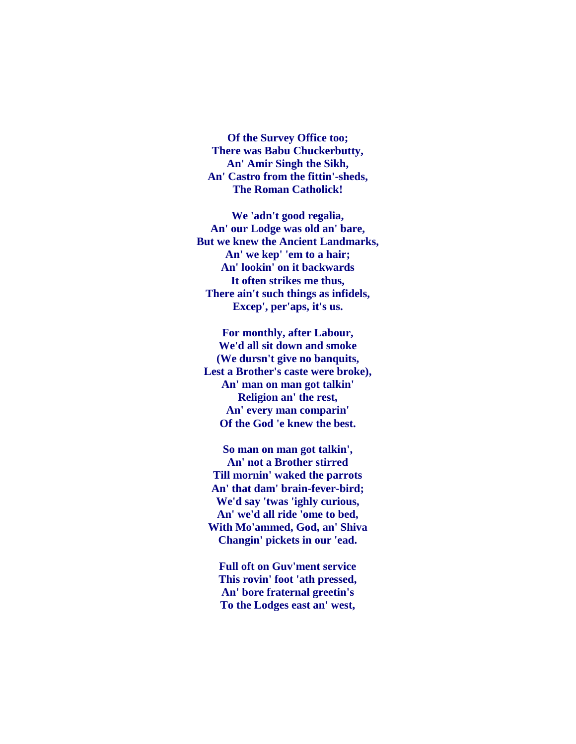**Of the Survey Office too; There was Babu Chuckerbutty, An' Amir Singh the Sikh, An' Castro from the fittin'-sheds, The Roman Catholick!**

**We 'adn't good regalia, An' our Lodge was old an' bare, But we knew the Ancient Landmarks, An' we kep' 'em to a hair; An' lookin' on it backwards It often strikes me thus, There ain't such things as infidels, Excep', per'aps, it's us.**

**For monthly, after Labour, We'd all sit down and smoke (We dursn't give no banquits, Lest a Brother's caste were broke), An' man on man got talkin' Religion an' the rest, An' every man comparin' Of the God 'e knew the best.**

**So man on man got talkin', An' not a Brother stirred Till mornin' waked the parrots An' that dam' brain-fever-bird; We'd say 'twas 'ighly curious, An' we'd all ride 'ome to bed, With Mo'ammed, God, an' Shiva Changin' pickets in our 'ead.**

**Full oft on Guv'ment service This rovin' foot 'ath pressed, An' bore fraternal greetin's To the Lodges east an' west,**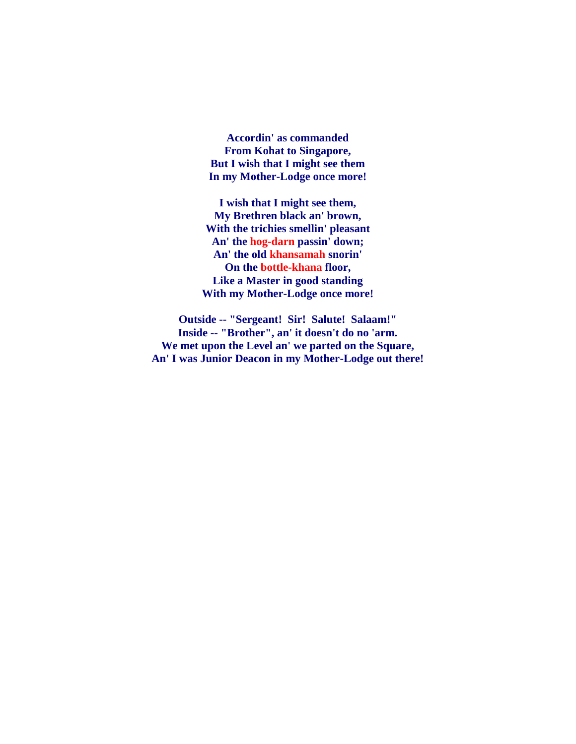**Accordin' as commanded From Kohat to Singapore, But I wish that I might see them In my Mother-Lodge once more!**

**I wish that I might see them, My Brethren black an' brown, With the trichies smellin' pleasant An' the hog-darn passin' down; An' the old khansamah snorin' On the bottle-khana floor, Like a Master in good standing With my Mother-Lodge once more!**

**Outside -- "Sergeant! Sir! Salute! Salaam!" Inside -- "Brother", an' it doesn't do no 'arm. We met upon the Level an' we parted on the Square, An' I was Junior Deacon in my Mother-Lodge out there!**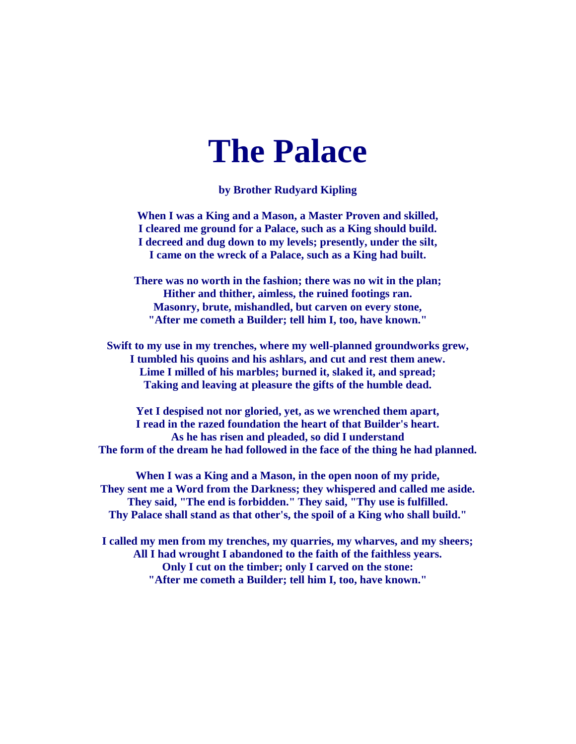# **The Palace**

**by Brother Rudyard Kipling**

**When I was a King and a Mason, a Master Proven and skilled, I cleared me ground for a Palace, such as a King should build. I decreed and dug down to my levels; presently, under the silt, I came on the wreck of a Palace, such as a King had built.**

**There was no worth in the fashion; there was no wit in the plan; Hither and thither, aimless, the ruined footings ran. Masonry, brute, mishandled, but carven on every stone, "After me cometh a Builder; tell him I, too, have known."**

**Swift to my use in my trenches, where my well-planned groundworks grew, I tumbled his quoins and his ashlars, and cut and rest them anew. Lime I milled of his marbles; burned it, slaked it, and spread; Taking and leaving at pleasure the gifts of the humble dead.**

**Yet I despised not nor gloried, yet, as we wrenched them apart, I read in the razed foundation the heart of that Builder's heart. As he has risen and pleaded, so did I understand The form of the dream he had followed in the face of the thing he had planned.**

**When I was a King and a Mason, in the open noon of my pride, They sent me a Word from the Darkness; they whispered and called me aside. They said, "The end is forbidden." They said, "Thy use is fulfilled. Thy Palace shall stand as that other's, the spoil of a King who shall build."**

**I called my men from my trenches, my quarries, my wharves, and my sheers; All I had wrought I abandoned to the faith of the faithless years. Only I cut on the timber; only I carved on the stone: "After me cometh a Builder; tell him I, too, have known."**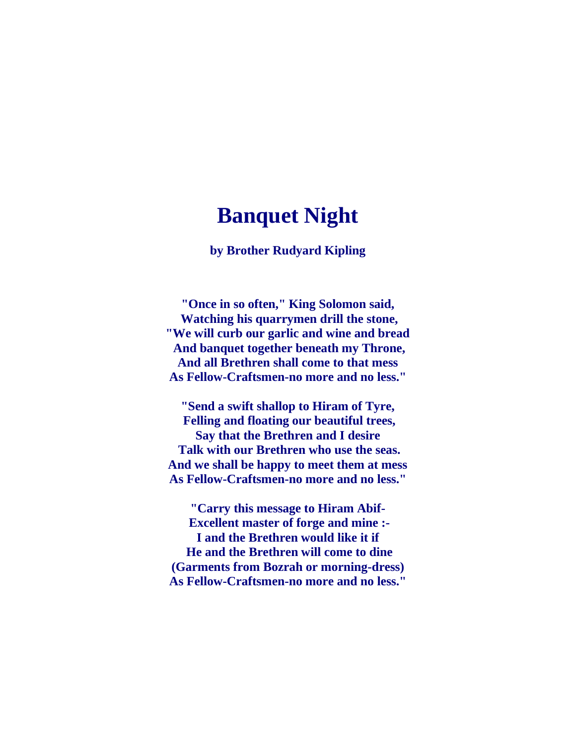## **Banquet Night**

**by Brother Rudyard Kipling**

**"Once in so often," King Solomon said, Watching his quarrymen drill the stone, "We will curb our garlic and wine and bread And banquet together beneath my Throne, And all Brethren shall come to that mess As Fellow-Craftsmen-no more and no less."**

**"Send a swift shallop to Hiram of Tyre, Felling and floating our beautiful trees, Say that the Brethren and I desire Talk with our Brethren who use the seas. And we shall be happy to meet them at mess As Fellow-Craftsmen-no more and no less."**

**"Carry this message to Hiram Abif-Excellent master of forge and mine :- I and the Brethren would like it if He and the Brethren will come to dine (Garments from Bozrah or morning-dress) As Fellow-Craftsmen-no more and no less."**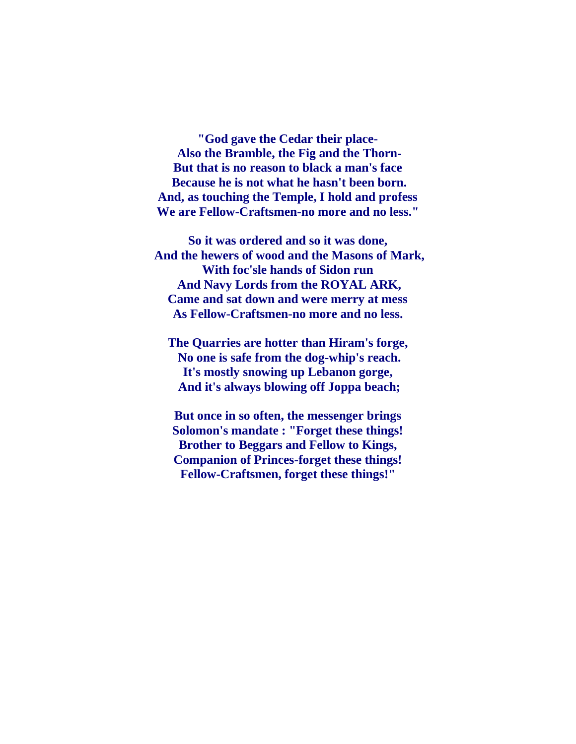**"God gave the Cedar their place-Also the Bramble, the Fig and the Thorn-But that is no reason to black a man's face Because he is not what he hasn't been born. And, as touching the Temple, I hold and profess We are Fellow-Craftsmen-no more and no less."**

**So it was ordered and so it was done, And the hewers of wood and the Masons of Mark, With foc'sle hands of Sidon run And Navy Lords from the ROYAL ARK, Came and sat down and were merry at mess As Fellow-Craftsmen-no more and no less.**

**The Quarries are hotter than Hiram's forge, No one is safe from the dog-whip's reach. It's mostly snowing up Lebanon gorge, And it's always blowing off Joppa beach;**

**But once in so often, the messenger brings Solomon's mandate : "Forget these things! Brother to Beggars and Fellow to Kings, Companion of Princes-forget these things! Fellow-Craftsmen, forget these things!"**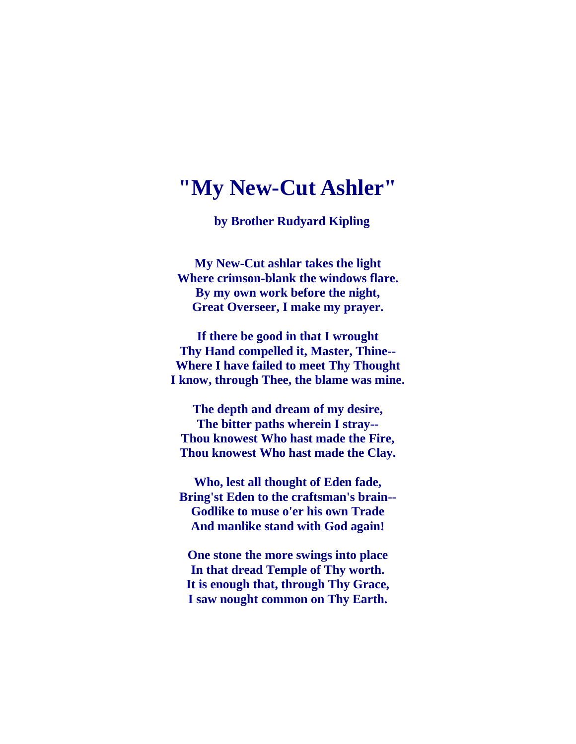### **"My New-Cut Ashler"**

 **by Brother Rudyard Kipling**

**My New-Cut ashlar takes the light Where crimson-blank the windows flare. By my own work before the night, Great Overseer, I make my prayer.**

**If there be good in that I wrought Thy Hand compelled it, Master, Thine-- Where I have failed to meet Thy Thought I know, through Thee, the blame was mine.**

**The depth and dream of my desire, The bitter paths wherein I stray-- Thou knowest Who hast made the Fire, Thou knowest Who hast made the Clay.**

**Who, lest all thought of Eden fade, Bring'st Eden to the craftsman's brain-- Godlike to muse o'er his own Trade And manlike stand with God again!**

**One stone the more swings into place In that dread Temple of Thy worth. It is enough that, through Thy Grace, I saw nought common on Thy Earth.**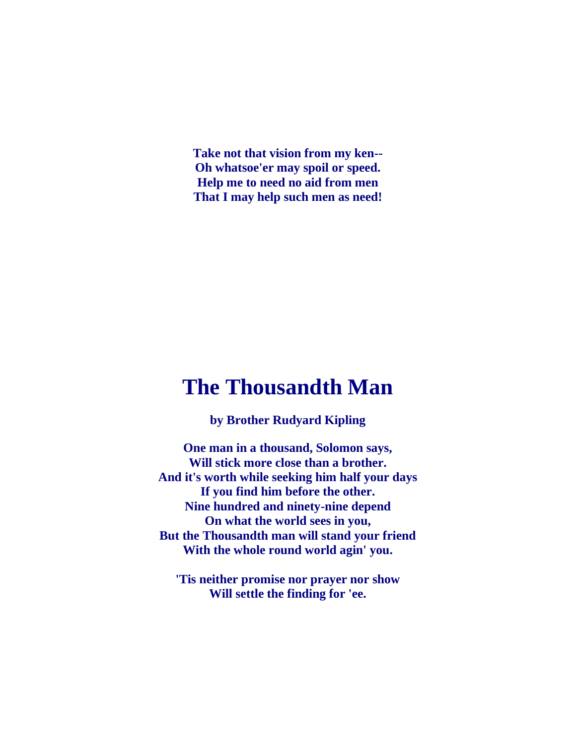**Take not that vision from my ken-- Oh whatsoe'er may spoil or speed. Help me to need no aid from men That I may help such men as need!**

## **The Thousandth Man**

**by Brother Rudyard Kipling**

**One man in a thousand, Solomon says, Will stick more close than a brother. And it's worth while seeking him half your days If you find him before the other. Nine hundred and ninety-nine depend On what the world sees in you, But the Thousandth man will stand your friend With the whole round world agin' you.**

**'Tis neither promise nor prayer nor show Will settle the finding for 'ee.**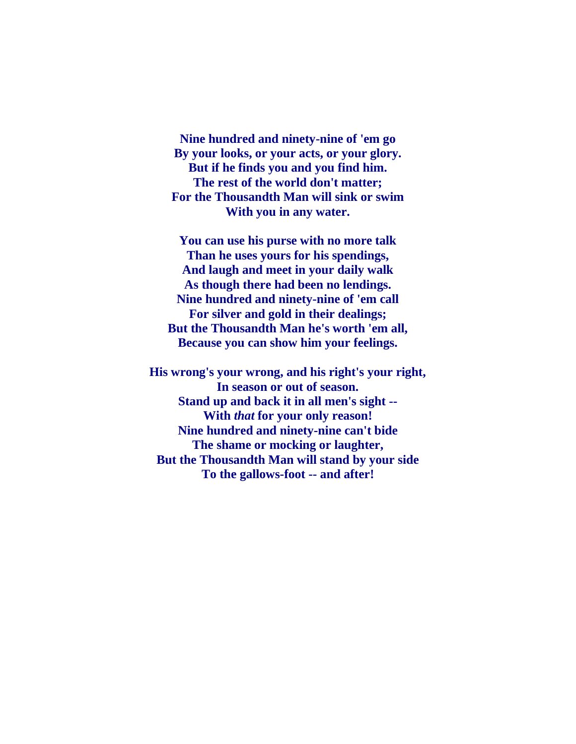**Nine hundred and ninety-nine of 'em go By your looks, or your acts, or your glory. But if he finds you and you find him. The rest of the world don't matter; For the Thousandth Man will sink or swim With you in any water.**

**You can use his purse with no more talk Than he uses yours for his spendings, And laugh and meet in your daily walk As though there had been no lendings. Nine hundred and ninety-nine of 'em call For silver and gold in their dealings; But the Thousandth Man he's worth 'em all, Because you can show him your feelings.**

**His wrong's your wrong, and his right's your right, In season or out of season. Stand up and back it in all men's sight -- With** *that* **for your only reason! Nine hundred and ninety-nine can't bide The shame or mocking or laughter, But the Thousandth Man will stand by your side To the gallows-foot -- and after!**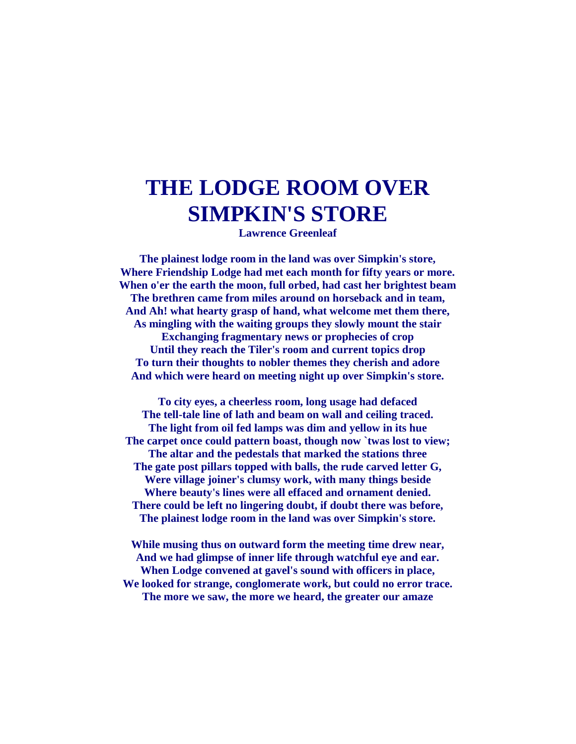## **THE LODGE ROOM OVER SIMPKIN'S STORE**

**Lawrence Greenleaf**

**The plainest lodge room in the land was over Simpkin's store, Where Friendship Lodge had met each month for fifty years or more. When o'er the earth the moon, full orbed, had cast her brightest beam The brethren came from miles around on horseback and in team, And Ah! what hearty grasp of hand, what welcome met them there, As mingling with the waiting groups they slowly mount the stair Exchanging fragmentary news or prophecies of crop Until they reach the Tiler's room and current topics drop To turn their thoughts to nobler themes they cherish and adore And which were heard on meeting night up over Simpkin's store.**

**To city eyes, a cheerless room, long usage had defaced The tell-tale line of lath and beam on wall and ceiling traced. The light from oil fed lamps was dim and yellow in its hue The carpet once could pattern boast, though now `twas lost to view; The altar and the pedestals that marked the stations three The gate post pillars topped with balls, the rude carved letter G, Were village joiner's clumsy work, with many things beside Where beauty's lines were all effaced and ornament denied. There could be left no lingering doubt, if doubt there was before, The plainest lodge room in the land was over Simpkin's store.**

**While musing thus on outward form the meeting time drew near, And we had glimpse of inner life through watchful eye and ear. When Lodge convened at gavel's sound with officers in place, We looked for strange, conglomerate work, but could no error trace. The more we saw, the more we heard, the greater our amaze**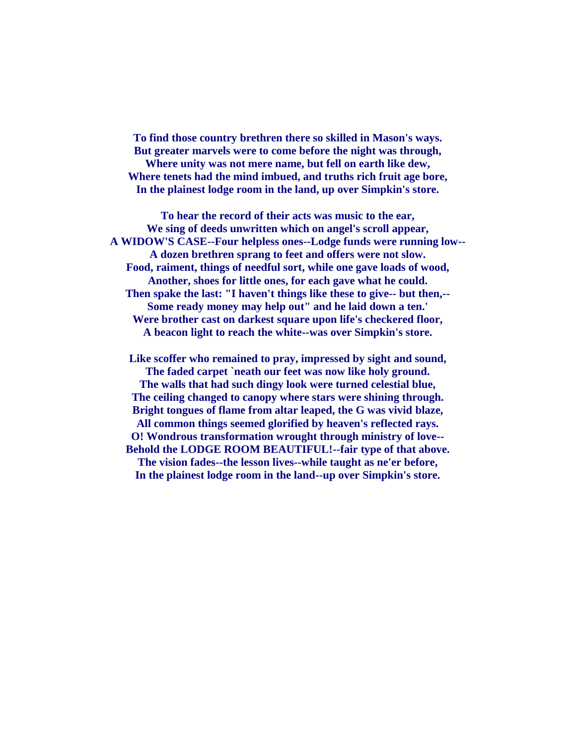**To find those country brethren there so skilled in Mason's ways. But greater marvels were to come before the night was through, Where unity was not mere name, but fell on earth like dew, Where tenets had the mind imbued, and truths rich fruit age bore, In the plainest lodge room in the land, up over Simpkin's store.**

**To hear the record of their acts was music to the ear, We sing of deeds unwritten which on angel's scroll appear, A WIDOW'S CASE--Four helpless ones--Lodge funds were running low-- A dozen brethren sprang to feet and offers were not slow. Food, raiment, things of needful sort, while one gave loads of wood, Another, shoes for little ones, for each gave what he could. Then spake the last: "I haven't things like these to give-- but then,-- Some ready money may help out" and he laid down a ten.' Were brother cast on darkest square upon life's checkered floor, A beacon light to reach the white--was over Simpkin's store.**

**Like scoffer who remained to pray, impressed by sight and sound, The faded carpet `neath our feet was now like holy ground. The walls that had such dingy look were turned celestial blue, The ceiling changed to canopy where stars were shining through. Bright tongues of flame from altar leaped, the G was vivid blaze, All common things seemed glorified by heaven's reflected rays. O! Wondrous transformation wrought through ministry of love-- Behold the LODGE ROOM BEAUTIFUL!--fair type of that above. The vision fades--the lesson lives--while taught as ne'er before, In the plainest lodge room in the land--up over Simpkin's store.**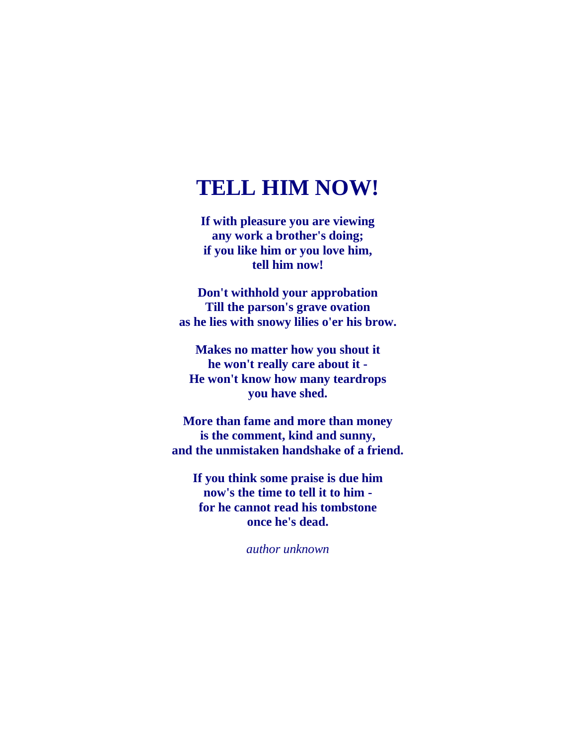## **TELL HIM NOW!**

**If with pleasure you are viewing any work a brother's doing; if you like him or you love him, tell him now!**

**Don't withhold your approbation Till the parson's grave ovation as he lies with snowy lilies o'er his brow.**

**Makes no matter how you shout it he won't really care about it - He won't know how many teardrops you have shed.**

**More than fame and more than money is the comment, kind and sunny, and the unmistaken handshake of a friend.**

**If you think some praise is due him now's the time to tell it to him for he cannot read his tombstone once he's dead.**

*author unknown*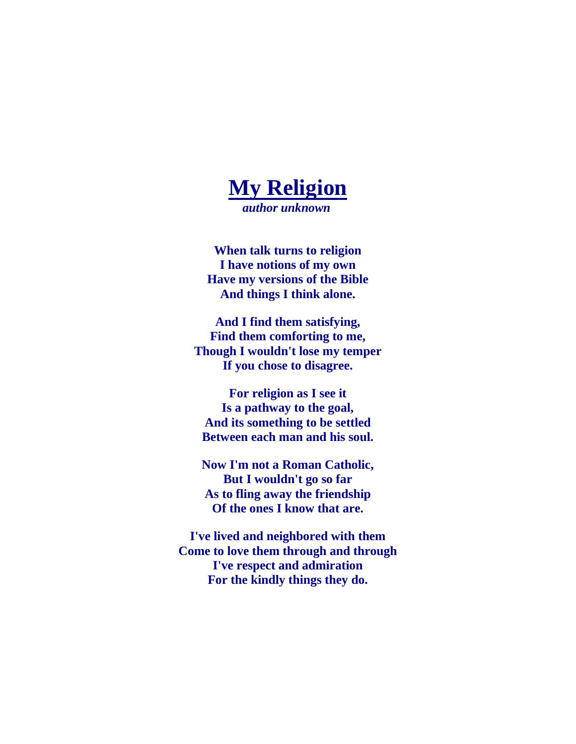

**When talk turns to religion I have notions of my own Have my versions of the Bible And things I think alone.**

**And I find them satisfying, Find them comforting to me, Though I wouldn't lose my temper If you chose to disagree.**

**For religion as I see it Is a pathway to the goal, And its something to be settled Between each man and his soul.**

**Now I'm not a Roman Catholic, But I wouldn't go so far As to fling away the friendship Of the ones I know that are.**

**I've lived and neighbored with them Come to love them through and through I've respect and admiration For the kindly things they do.**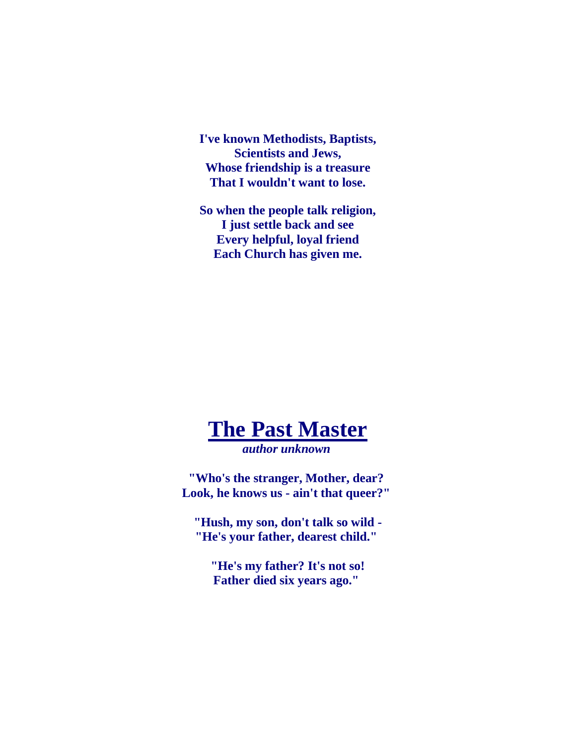**I've known Methodists, Baptists, Scientists and Jews, Whose friendship is a treasure That I wouldn't want to lose.**

**So when the people talk religion, I just settle back and see Every helpful, loyal friend Each Church has given me.**



*author unknown*

**"Who's the stranger, Mother, dear? Look, he knows us - ain't that queer?"**

**"Hush, my son, don't talk so wild - "He's your father, dearest child."**

**"He's my father? It's not so! Father died six years ago."**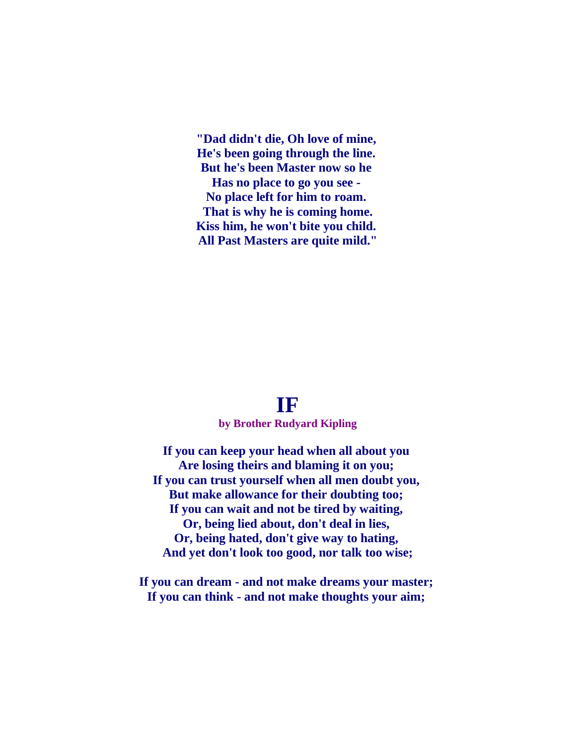**"Dad didn't die, Oh love of mine, He's been going through the line. But he's been Master now so he Has no place to go you see - No place left for him to roam. That is why he is coming home. Kiss him, he won't bite you child. All Past Masters are quite mild."**

#### **IF**

#### **by Brother Rudyard Kipling**

**If you can keep your head when all about you Are losing theirs and blaming it on you; If you can trust yourself when all men doubt you, But make allowance for their doubting too; If you can wait and not be tired by waiting, Or, being lied about, don't deal in lies, Or, being hated, don't give way to hating, And yet don't look too good, nor talk too wise;**

**If you can dream - and not make dreams your master; If you can think - and not make thoughts your aim;**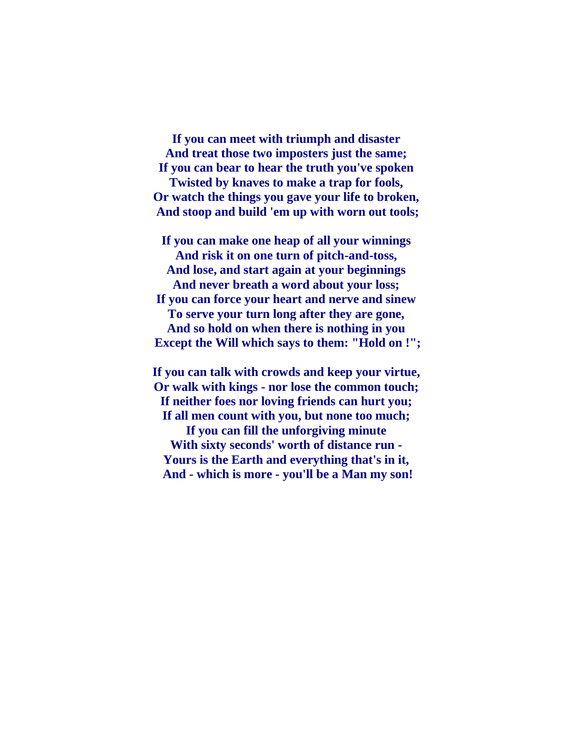**If you can meet with triumph and disaster And treat those two imposters just the same; If you can bear to hear the truth you've spoken Twisted by knaves to make a trap for fools, Or watch the things you gave your life to broken, And stoop and build 'em up with worn out tools;**

**If you can make one heap of all your winnings And risk it on one turn of pitch-and-toss, And lose, and start again at your beginnings And never breath a word about your loss; If you can force your heart and nerve and sinew To serve your turn long after they are gone, And so hold on when there is nothing in you Except the Will which says to them: "Hold on !";**

**If you can talk with crowds and keep your virtue, Or walk with kings - nor lose the common touch; If neither foes nor loving friends can hurt you; If all men count with you, but none too much; If you can fill the unforgiving minute With sixty seconds' worth of distance run - Yours is the Earth and everything that's in it, And - which is more - you'll be a Man my son!**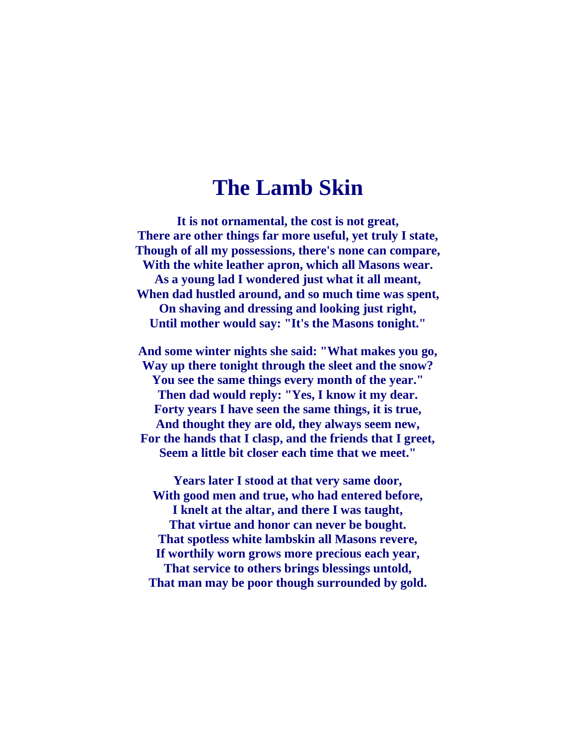#### **The Lamb Skin**

**It is not ornamental, the cost is not great, There are other things far more useful, yet truly I state, Though of all my possessions, there's none can compare, With the white leather apron, which all Masons wear. As a young lad I wondered just what it all meant, When dad hustled around, and so much time was spent, On shaving and dressing and looking just right, Until mother would say: "It's the Masons tonight."**

**And some winter nights she said: "What makes you go, Way up there tonight through the sleet and the snow? You see the same things every month of the year." Then dad would reply: "Yes, I know it my dear. Forty years I have seen the same things, it is true, And thought they are old, they always seem new, For the hands that I clasp, and the friends that I greet, Seem a little bit closer each time that we meet."**

**Years later I stood at that very same door, With good men and true, who had entered before, I knelt at the altar, and there I was taught, That virtue and honor can never be bought. That spotless white lambskin all Masons revere, If worthily worn grows more precious each year, That service to others brings blessings untold, That man may be poor though surrounded by gold.**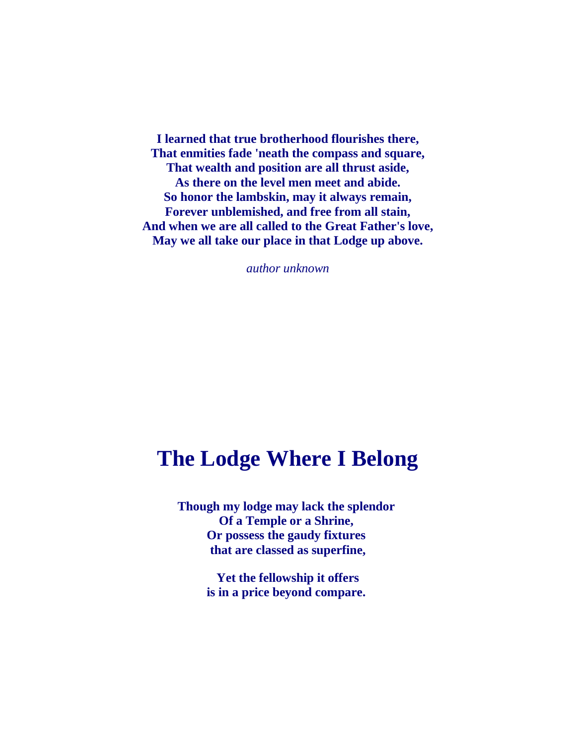**I learned that true brotherhood flourishes there, That enmities fade 'neath the compass and square, That wealth and position are all thrust aside, As there on the level men meet and abide. So honor the lambskin, may it always remain, Forever unblemished, and free from all stain, And when we are all called to the Great Father's love, May we all take our place in that Lodge up above.**

*author unknown*

## **The Lodge Where I Belong**

**Though my lodge may lack the splendor Of a Temple or a Shrine, Or possess the gaudy fixtures that are classed as superfine,**

> **Yet the fellowship it offers is in a price beyond compare.**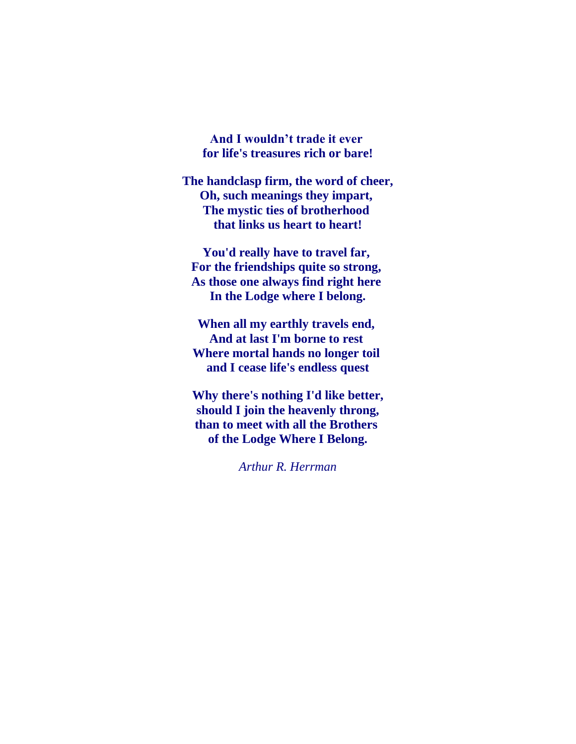**And I wouldn't trade it ever for life's treasures rich or bare!**

**The handclasp firm, the word of cheer, Oh, such meanings they impart, The mystic ties of brotherhood that links us heart to heart!**

**You'd really have to travel far, For the friendships quite so strong, As those one always find right here In the Lodge where I belong.**

**When all my earthly travels end, And at last I'm borne to rest Where mortal hands no longer toil and I cease life's endless quest**

**Why there's nothing I'd like better, should I join the heavenly throng, than to meet with all the Brothers of the Lodge Where I Belong.**

*Arthur R. Herrman*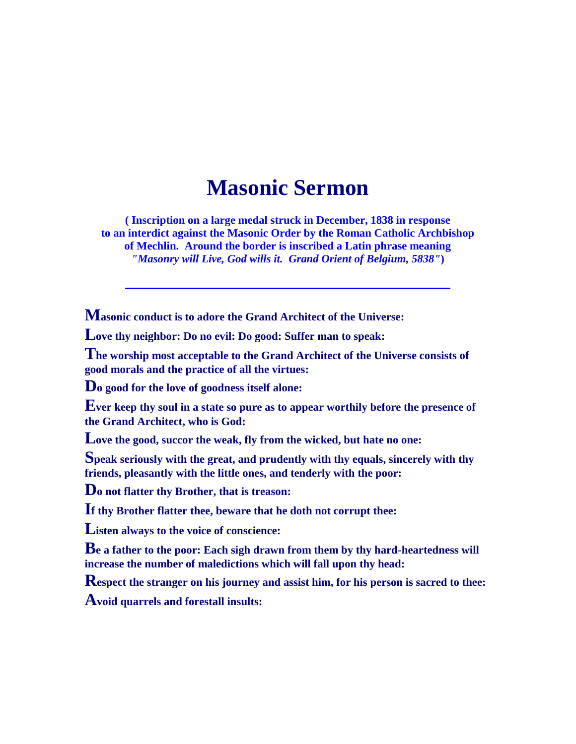## **Masonic Sermon**

**( Inscription on a large medal struck in December, 1838 in response to an interdict against the Masonic Order by the Roman Catholic Archbishop of Mechlin. Around the border is inscribed a Latin phrase meaning** *"Masonry will Live, God wills it. Grand Orient of Belgium, 5838"***)**

**Masonic conduct is to adore the Grand Architect of the Universe:**

**Love thy neighbor: Do no evil: Do good: Suffer man to speak:**

**The worship most acceptable to the Grand Architect of the Universe consists of good morals and the practice of all the virtues:**

**Do good for the love of goodness itself alone:**

**Ever keep thy soul in a state so pure as to appear worthily before the presence of the Grand Architect, who is God:**

**Love the good, succor the weak, fly from the wicked, but hate no one:**

**Speak seriously with the great, and prudently with thy equals, sincerely with thy friends, pleasantly with the little ones, and tenderly with the poor:**

**Do not flatter thy Brother, that is treason:**

**If thy Brother flatter thee, beware that he doth not corrupt thee:**

**Listen always to the voice of conscience:**

**Be a father to the poor: Each sigh drawn from them by thy hard-heartedness will increase the number of maledictions which will fall upon thy head:**

**Respect the stranger on his journey and assist him, for his person is sacred to thee:**

**Avoid quarrels and forestall insults:**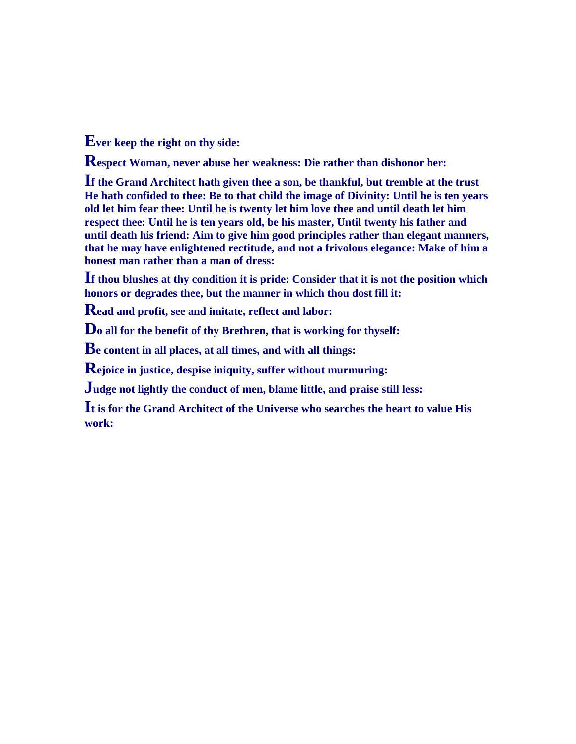**Ever keep the right on thy side:**

**Respect Woman, never abuse her weakness: Die rather than dishonor her:**

**If the Grand Architect hath given thee a son, be thankful, but tremble at the trust He hath confided to thee: Be to that child the image of Divinity: Until he is ten years old let him fear thee: Until he is twenty let him love thee and until death let him respect thee: Until he is ten years old, be his master, Until twenty his father and until death his friend: Aim to give him good principles rather than elegant manners, that he may have enlightened rectitude, and not a frivolous elegance: Make of him a honest man rather than a man of dress:**

**If thou blushes at thy condition it is pride: Consider that it is not the position which honors or degrades thee, but the manner in which thou dost fill it:**

**Read and profit, see and imitate, reflect and labor:**

**Do all for the benefit of thy Brethren, that is working for thyself:**

**Be content in all places, at all times, and with all things:**

**Rejoice in justice, despise iniquity, suffer without murmuring:**

**Judge not lightly the conduct of men, blame little, and praise still less:**

**It is for the Grand Architect of the Universe who searches the heart to value His work:**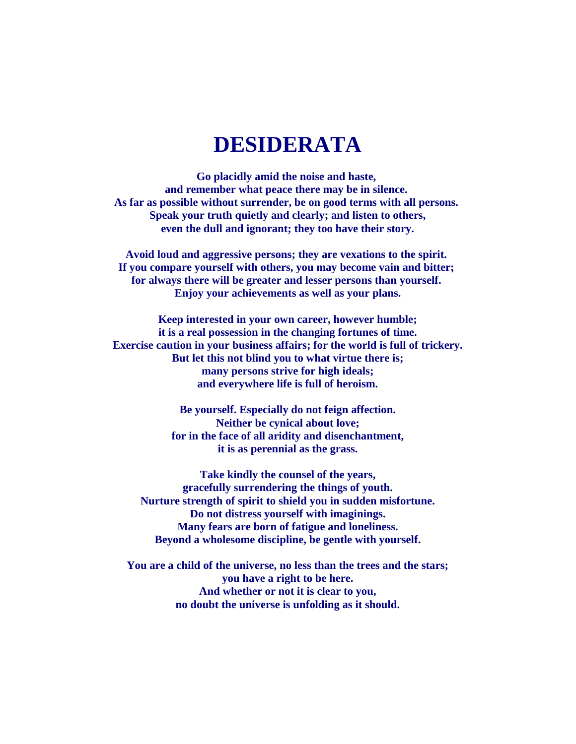## **DESIDERATA**

**Go placidly amid the noise and haste, and remember what peace there may be in silence. As far as possible without surrender, be on good terms with all persons. Speak your truth quietly and clearly; and listen to others, even the dull and ignorant; they too have their story.**

**Avoid loud and aggressive persons; they are vexations to the spirit. If you compare yourself with others, you may become vain and bitter; for always there will be greater and lesser persons than yourself. Enjoy your achievements as well as your plans.**

**Keep interested in your own career, however humble; it is a real possession in the changing fortunes of time. Exercise caution in your business affairs; for the world is full of trickery. But let this not blind you to what virtue there is; many persons strive for high ideals; and everywhere life is full of heroism.**

> **Be yourself. Especially do not feign affection. Neither be cynical about love; for in the face of all aridity and disenchantment, it is as perennial as the grass.**

**Take kindly the counsel of the years, gracefully surrendering the things of youth. Nurture strength of spirit to shield you in sudden misfortune. Do not distress yourself with imaginings. Many fears are born of fatigue and loneliness. Beyond a wholesome discipline, be gentle with yourself.**

**You are a child of the universe, no less than the trees and the stars; you have a right to be here. And whether or not it is clear to you, no doubt the universe is unfolding as it should.**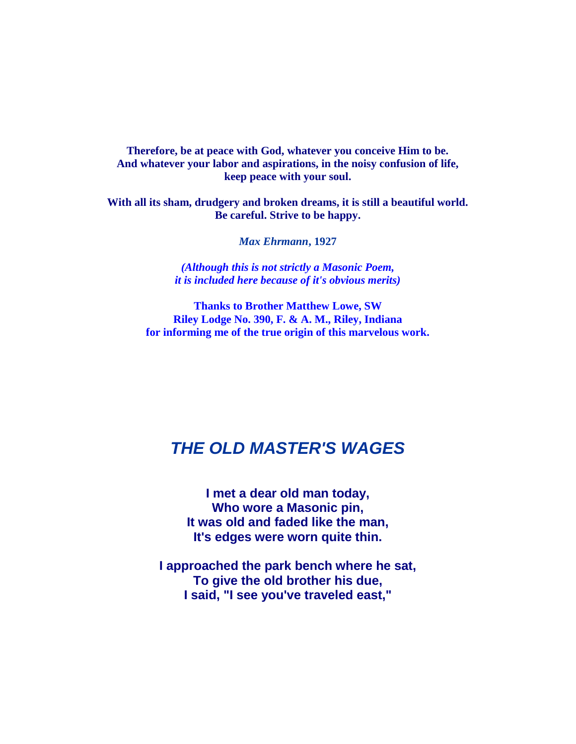**Therefore, be at peace with God, whatever you conceive Him to be. And whatever your labor and aspirations, in the noisy confusion of life, keep peace with your soul.**

**With all its sham, drudgery and broken dreams, it is still a beautiful world. Be careful. Strive to be happy.**

*Max Ehrmann***, 1927**

*(Although this is not strictly a Masonic Poem, it is included here because of it's obvious merits)*

**Thanks to Brother Matthew Lowe, SW Riley Lodge No. 390, F. & A. M., Riley, Indiana for informing me of the true origin of this marvelous work.**

#### *THE OLD MASTER'S WAGES*

**I met a dear old man today, Who wore a Masonic pin, It was old and faded like the man, It's edges were worn quite thin.**

**I approached the park bench where he sat, To give the old brother his due, I said, "I see you've traveled east,"**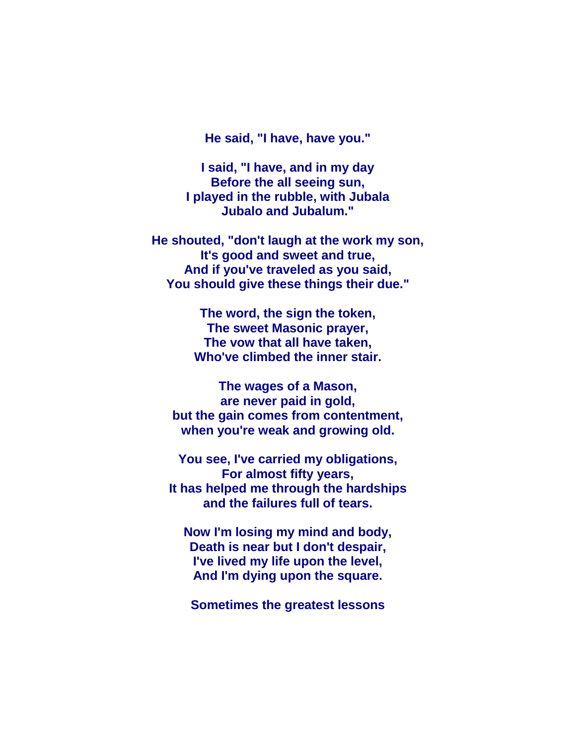**He said, "I have, have you."**

**I said, "I have, and in my day Before the all seeing sun, I played in the rubble, with Jubala Jubalo and Jubalum."**

**He shouted, "don't laugh at the work my son, It's good and sweet and true, And if you've traveled as you said, You should give these things their due."**

> **The word, the sign the token, The sweet Masonic prayer, The vow that all have taken, Who've climbed the inner stair.**

**The wages of a Mason, are never paid in gold, but the gain comes from contentment, when you're weak and growing old.**

**You see, I've carried my obligations, For almost fifty years, It has helped me through the hardships and the failures full of tears.**

**Now I'm losing my mind and body, Death is near but I don't despair, I've lived my life upon the level, And I'm dying upon the square.**

**Sometimes the greatest lessons**